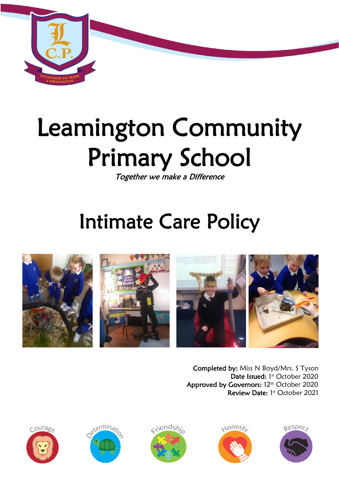

# Leamington Community Primary School

Together we make a Difference

## Intimate Care Policy







Completed by: Miss N Boyd/Mrs. S Tyson Date Issued: 1st October 2020 Approved by Governors: 12<sup>th</sup> October 2020 Review Date: 1st October 2021









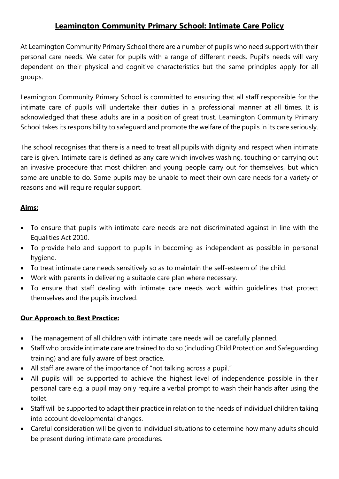### **Leamington Community Primary School: Intimate Care Policy**

At Leamington Community Primary School there are a number of pupils who need support with their personal care needs. We cater for pupils with a range of different needs. Pupil's needs will vary dependent on their physical and cognitive characteristics but the same principles apply for all groups.

Leamington Community Primary School is committed to ensuring that all staff responsible for the intimate care of pupils will undertake their duties in a professional manner at all times. It is acknowledged that these adults are in a position of great trust. Leamington Community Primary School takes its responsibility to safeguard and promote the welfare of the pupils in its care seriously.

The school recognises that there is a need to treat all pupils with dignity and respect when intimate care is given. Intimate care is defined as any care which involves washing, touching or carrying out an invasive procedure that most children and young people carry out for themselves, but which some are unable to do. Some pupils may be unable to meet their own care needs for a variety of reasons and will require regular support.

#### **Aims:**

- To ensure that pupils with intimate care needs are not discriminated against in line with the Equalities Act 2010.
- To provide help and support to pupils in becoming as independent as possible in personal hygiene.
- To treat intimate care needs sensitively so as to maintain the self-esteem of the child.
- Work with parents in delivering a suitable care plan where necessary.
- To ensure that staff dealing with intimate care needs work within guidelines that protect themselves and the pupils involved.

#### **Our Approach to Best Practice:**

- The management of all children with intimate care needs will be carefully planned.
- Staff who provide intimate care are trained to do so (including Child Protection and Safeguarding training) and are fully aware of best practice.
- All staff are aware of the importance of "not talking across a pupil."
- All pupils will be supported to achieve the highest level of independence possible in their personal care e.g. a pupil may only require a verbal prompt to wash their hands after using the toilet.
- Staff will be supported to adapt their practice in relation to the needs of individual children taking into account developmental changes.
- Careful consideration will be given to individual situations to determine how many adults should be present during intimate care procedures.